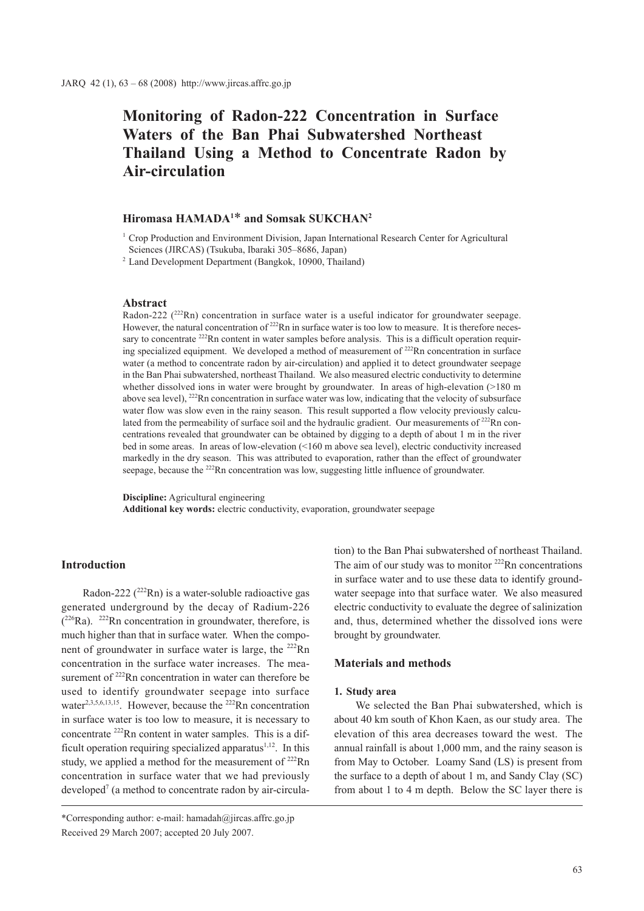# **Monitoring of Radon-222 Concentration in Surface Waters of the Ban Phai Subwatershed Northeast Thailand Using a Method to Concentrate Radon by Air-circulation**

# **Hiromasa HAMADA1** \* **and Somsak SUKCHAN2**

 $1$  Crop Production and Environment Division, Japan International Research Center for Agricultural Sciences (JIRCAS) (Tsukuba, Ibaraki 305–8686, Japan)

<sup>2</sup> Land Development Department (Bangkok, 10900, Thailand)

#### **Abstract**

Radon-222  $(^{222}Rn)$  concentration in surface water is a useful indicator for groundwater seepage. However, the natural concentration of  $^{222}$ Rn in surface water is too low to measure. It is therefore necessary to concentrate <sup>222</sup>Rn content in water samples before analysis. This is a difficult operation requiring specialized equipment. We developed a method of measurement of <sup>222</sup>Rn concentration in surface water (a method to concentrate radon by air-circulation) and applied it to detect groundwater seepage in the Ban Phai subwatershed, northeast Thailand. We also measured electric conductivity to determine whether dissolved ions in water were brought by groundwater. In areas of high-elevation (>180 m above sea level),  $^{222}$ Rn concentration in surface water was low, indicating that the velocity of subsurface water flow was slow even in the rainy season. This result supported a flow velocity previously calculated from the permeability of surface soil and the hydraulic gradient. Our measurements of <sup>222</sup>Rn concentrations revealed that groundwater can be obtained by digging to a depth of about 1 m in the river bed in some areas. In areas of low-elevation (<160 m above sea level), electric conductivity increased markedly in the dry season. This was attributed to evaporation, rather than the effect of groundwater seepage, because the <sup>222</sup>Rn concentration was low, suggesting little influence of groundwater.

**Discipline:** Agricultural engineering **Additional key words:** electric conductivity, evaporation, groundwater seepage

# **Introduction**

Radon-222  $(^{222}Rn)$  is a water-soluble radioactive gas generated underground by the decay of Radium-226  $(^{226}Ra)$ . <sup>222</sup>Rn concentration in groundwater, therefore, is much higher than that in surface water. When the component of groundwater in surface water is large, the <sup>222</sup>Rn concentration in the surface water increases. The measurement of <sup>222</sup>Rn concentration in water can therefore be used to identify groundwater seepage into surface water<sup>2,3,5,6,13,15</sup>. However, because the <sup>222</sup>Rn concentration in surface water is too low to measure, it is necessary to concentrate 222Rn content in water samples. This is a difficult operation requiring specialized apparatus $1,12$ . In this study, we applied a method for the measurement of  $^{222}$ Rn concentration in surface water that we had previously developed<sup>7</sup> (a method to concentrate radon by air-circulation) to the Ban Phai subwatershed of northeast Thailand. The aim of our study was to monitor  $222$ Rn concentrations in surface water and to use these data to identify groundwater seepage into that surface water. We also measured electric conductivity to evaluate the degree of salinization and, thus, determined whether the dissolved ions were brought by groundwater.

#### **Materials and methods**

#### **1. Study area**

We selected the Ban Phai subwatershed, which is about 40 km south of Khon Kaen, as our study area. The elevation of this area decreases toward the west. The annual rainfall is about 1,000 mm, and the rainy season is from May to October. Loamy Sand (LS) is present from the surface to a depth of about 1 m, and Sandy Clay (SC) from about 1 to 4 m depth. Below the SC layer there is

<sup>\*</sup>Corresponding author: e-mail: hamadah@jircas.affrc.go.jp Received 29 March 2007; accepted 20 July 2007.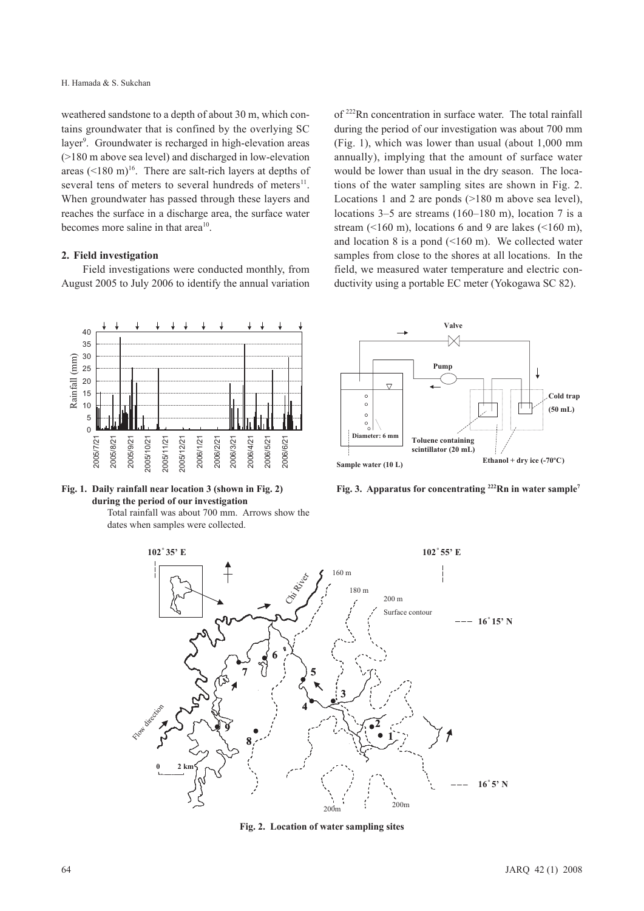weathered sandstone to a depth of about 30 m, which contains groundwater that is confined by the overlying SC layer<sup>9</sup>. Groundwater is recharged in high-elevation areas (>180 m above sea level) and discharged in low-elevation areas  $(<180 \text{ m})^{16}$ . There are salt-rich layers at depths of several tens of meters to several hundreds of meters<sup>11</sup>. When groundwater has passed through these layers and reaches the surface in a discharge area, the surface water becomes more saline in that area<sup>10</sup>.

#### **2. Field investigation**

Field investigations were conducted monthly, from August 2005 to July 2006 to identify the annual variation of 222Rn concentration in surface water. The total rainfall during the period of our investigation was about 700 mm (Fig. 1), which was lower than usual (about 1,000 mm annually), implying that the amount of surface water would be lower than usual in the dry season. The locations of the water sampling sites are shown in Fig. 2. Locations 1 and 2 are ponds (>180 m above sea level), locations 3–5 are streams (160–180 m), location 7 is a stream  $($  <160 m), locations 6 and 9 are lakes  $($  <160 m), and location 8 is a pond (<160 m). We collected water samples from close to the shores at all locations. In the field, we measured water temperature and electric conductivity using a portable EC meter (Yokogawa SC 82).





Total rainfall was about 700 mm. Arrows show the dates when samples were collected.



**Fig. 3. Apparatus for concentrating 222Rn in water sample7**



**Fig. 2. Location of water sampling sites**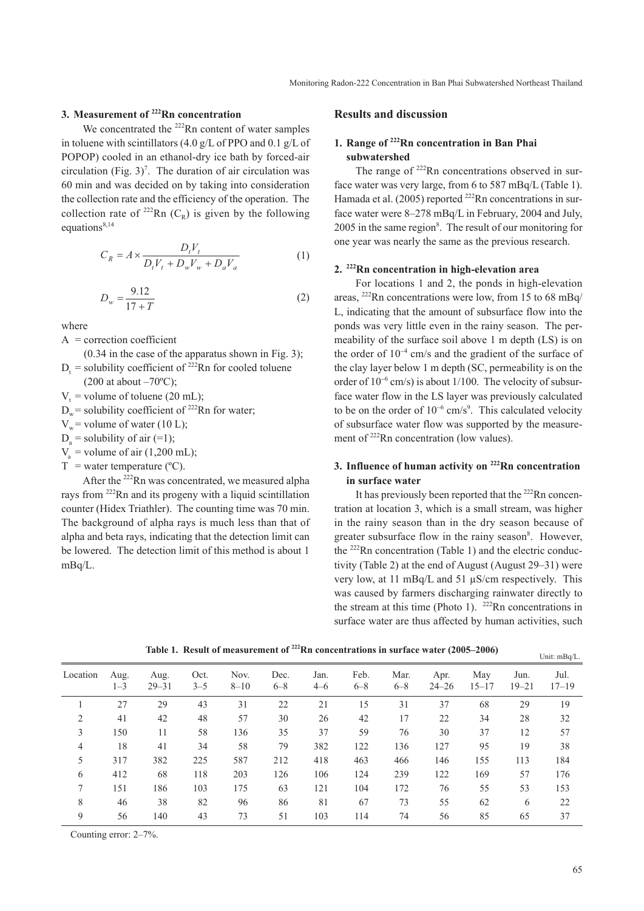# **3. Measurement of 222Rn concentration**

We concentrated the <sup>222</sup>Rn content of water samples in toluene with scintillators (4.0 g/L of PPO and 0.1 g/L of POPOP) cooled in an ethanol-dry ice bath by forced-air circulation (Fig.  $3$ )<sup>7</sup>. The duration of air circulation was 60 min and was decided on by taking into consideration the collection rate and the efficiency of the operation. The collection rate of <sup>222</sup>Rn ( $C_R$ ) is given by the following equations $8,14$ 

$$
C_R = A \times \frac{D_t V_t}{D_t V_t + D_w V_w + D_a V_a}
$$
 (1)

$$
D_w = \frac{9.12}{17 + T}
$$
 (2)

where

- $A =$  correction coefficient
- (0.34 in the case of the apparatus shown in Fig. 3);  $D_t$  = solubility coefficient of <sup>222</sup>Rn for cooled toluene  $(200$  at about  $-70$ <sup>o</sup>C);

 $V_t$  = volume of toluene (20 mL);

- $D_w$  = solubility coefficient of <sup>222</sup>Rn for water;
- $V_w$  = volume of water (10 L);
- $D_a$  = solubility of air (=1);
- $V<sub>a</sub>$  = volume of air (1,200 mL);

 $T =$  water temperature ( $^{\circ}$ C).

After the  $^{222}$ Rn was concentrated, we measured alpha rays from 222Rn and its progeny with a liquid scintillation counter (Hidex Triathler). The counting time was 70 min. The background of alpha rays is much less than that of alpha and beta rays, indicating that the detection limit can be lowered. The detection limit of this method is about 1 mBq/L.

#### **Results and discussion**

# **1. Range of 222Rn concentration in Ban Phai subwatershed**

The range of  $222$ Rn concentrations observed in surface water was very large, from 6 to 587 mBq/L (Table 1). Hamada et al. (2005) reported <sup>222</sup>Rn concentrations in surface water were 8–278 mBq/L in February, 2004 and July, 2005 in the same region<sup>8</sup>. The result of our monitoring for one year was nearly the same as the previous research.

## **2. 222Rn concentration in high-elevation area**

For locations 1 and 2, the ponds in high-elevation areas, 222Rn concentrations were low, from 15 to 68 mBq/ L, indicating that the amount of subsurface flow into the ponds was very little even in the rainy season. The permeability of the surface soil above 1 m depth (LS) is on the order of  $10^{-4}$  cm/s and the gradient of the surface of the clay layer below 1 m depth (SC, permeability is on the order of  $10^{-6}$  cm/s) is about 1/100. The velocity of subsurface water flow in the LS layer was previously calculated to be on the order of  $10^{-6}$  cm/s<sup>9</sup>. This calculated velocity of subsurface water flow was supported by the measurement of <sup>222</sup>Rn concentration (low values).

# **3. Influence of human activity on 222Rn concentration in surface water**

It has previously been reported that the <sup>222</sup>Rn concentration at location 3, which is a small stream, was higher in the rainy season than in the dry season because of greater subsurface flow in the rainy season<sup>8</sup>. However, the 222Rn concentration (Table 1) and the electric conductivity (Table 2) at the end of August (August 29–31) were very low, at 11 mBq/L and 51 µS/cm respectively. This was caused by farmers discharging rainwater directly to the stream at this time (Photo 1).  $^{222}$ Rn concentrations in surface water are thus affected by human activities, such

| Location       | Aug.<br>$1 - 3$ | Aug.<br>$29 - 31$ | Oct.<br>$3 - 5$ | Nov.<br>$8 - 10$ | Dec.<br>$6 - 8$ | Jan.<br>$4 - 6$ | Feb.<br>$6 - 8$ | Mar.<br>$6 - 8$ | Apr.<br>$24 - 26$ | May<br>$15 - 17$ | Jun.<br>$19 - 21$ | Jul.<br>$17 - 19$ |
|----------------|-----------------|-------------------|-----------------|------------------|-----------------|-----------------|-----------------|-----------------|-------------------|------------------|-------------------|-------------------|
|                | 27              | 29                | 43              | 31               | 22              | 21              | 15              | 31              | 37                | 68               | 29                | 19                |
| 2              | 41              | 42                | 48              | 57               | 30              | 26              | 42              | 17              | 22                | 34               | 28                | 32                |
| 3              | 150             | 11                | 58              | 136              | 35              | 37              | 59              | 76              | 30                | 37               | 12                | 57                |
| $\overline{4}$ | 18              | 41                | 34              | 58               | 79              | 382             | 122             | 136             | 127               | 95               | 19                | 38                |
| 5              | 317             | 382               | 225             | 587              | 212             | 418             | 463             | 466             | 146               | 155              | 113               | 184               |
| 6              | 412             | 68                | 118             | 203              | 126             | 106             | 124             | 239             | 122               | 169              | 57                | 176               |
| 7              | 151             | 186               | 103             | 175              | 63              | 121             | 104             | 172             | 76                | 55               | 53                | 153               |
| 8              | 46              | 38                | 82              | 96               | 86              | 81              | 67              | 73              | 55                | 62               | 6                 | 22                |
| 9              | 56              | 140               | 43              | 73               | 51              | 103             | 114             | 74              | 56                | 85               | 65                | 37                |

**Table 1. Result of measurement of 222Rn concentrations in surface water (2005–2006)**

Counting error: 2–7%.

Unit: mBq/L.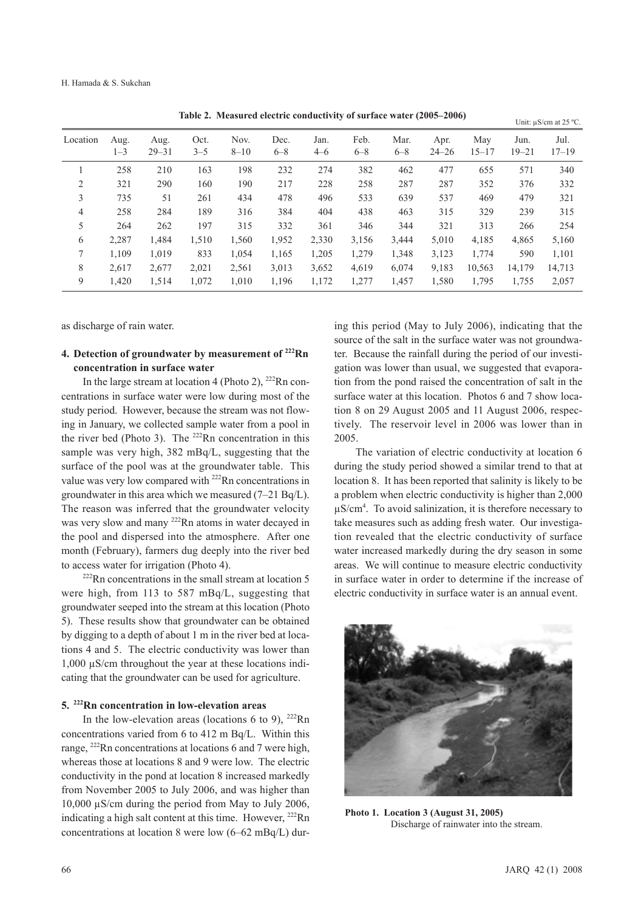| Location       | Aug.<br>$1 - 3$ | Aug.<br>$29 - 31$ | Oct.<br>$3 - 5$ | Nov.<br>$8 - 10$ | Dec.<br>$6 - 8$ | $\sim$          |                 |                 |                   |                  | Unit: $\mu$ S/cm at 25 °C. |                   |
|----------------|-----------------|-------------------|-----------------|------------------|-----------------|-----------------|-----------------|-----------------|-------------------|------------------|----------------------------|-------------------|
|                |                 |                   |                 |                  |                 | Jan.<br>$4 - 6$ | Feb.<br>$6 - 8$ | Mar.<br>$6 - 8$ | Apr.<br>$24 - 26$ | May<br>$15 - 17$ | Jun.<br>$19 - 21$          | Jul.<br>$17 - 19$ |
|                | 258             | 210               | 163             | 198              | 232             | 274             | 382             | 462             | 477               | 655              | 571                        | 340               |
| 2              | 321             | 290               | 160             | 190              | 217             | 228             | 258             | 287             | 287               | 352              | 376                        | 332               |
| 3              | 735             | 51                | 261             | 434              | 478             | 496             | 533             | 639             | 537               | 469              | 479                        | 321               |
| $\overline{4}$ | 258             | 284               | 189             | 316              | 384             | 404             | 438             | 463             | 315               | 329              | 239                        | 315               |
| 5              | 264             | 262               | 197             | 315              | 332             | 361             | 346             | 344             | 321               | 313              | 266                        | 254               |
| 6              | 2,287           | 1,484             | 1,510           | 1,560            | 1,952           | 2,330           | 3,156           | 3,444           | 5,010             | 4,185            | 4,865                      | 5,160             |
| 7              | 1.109           | 1.019             | 833             | 1,054            | 1,165           | 1,205           | 1,279           | 1,348           | 3,123             | 1,774            | 590                        | 1,101             |
| 8              | 2.617           | 2,677             | 2,021           | 2,561            | 3,013           | 3,652           | 4,619           | 6,074           | 9,183             | 10,563           | 14,179                     | 14,713            |
| 9              | 1.420           | 1,514             | 1,072           | 1,010            | 1,196           | 1,172           | 1,277           | 1,457           | 1,580             | 1,795            | 1,755                      | 2,057             |

**Table 2. Measured electric conductivity of surface water (2005–2006)**

as discharge of rain water.

# **4. Detection of groundwater by measurement of 222Rn concentration in surface water**

In the large stream at location 4 (Photo 2),  $^{222}$ Rn concentrations in surface water were low during most of the study period. However, because the stream was not flowing in January, we collected sample water from a pool in the river bed (Photo 3). The  $222$ Rn concentration in this sample was very high, 382 mBq/L, suggesting that the surface of the pool was at the groundwater table. This value was very low compared with <sup>222</sup>Rn concentrations in groundwater in this area which we measured (7–21 Bq/L). The reason was inferred that the groundwater velocity was very slow and many <sup>222</sup>Rn atoms in water decayed in the pool and dispersed into the atmosphere. After one month (February), farmers dug deeply into the river bed to access water for irrigation (Photo 4).<br><sup>222</sup>Rn concentrations in the small stream at location 5

were high, from 113 to 587 mBq/L, suggesting that groundwater seeped into the stream at this location (Photo 5). These results show that groundwater can be obtained by digging to a depth of about 1 m in the river bed at locations 4 and 5. The electric conductivity was lower than 1,000 µS/cm throughout the year at these locations indicating that the groundwater can be used for agriculture.

#### **5. 222Rn concentration in low-elevation areas**

In the low-elevation areas (locations 6 to 9),  $^{222}$ Rn concentrations varied from 6 to 412 m Bq/L. Within this range, 222Rn concentrations at locations 6 and 7 were high, whereas those at locations 8 and 9 were low. The electric conductivity in the pond at location 8 increased markedly from November 2005 to July 2006, and was higher than 10,000 µS/cm during the period from May to July 2006, indicating a high salt content at this time. However,  $^{222}$ Rn concentrations at location 8 were low (6–62 mBq/L) dur-

ing this period (May to July 2006), indicating that the source of the salt in the surface water was not groundwater. Because the rainfall during the period of our investigation was lower than usual, we suggested that evaporation from the pond raised the concentration of salt in the surface water at this location. Photos 6 and 7 show location 8 on 29 August 2005 and 11 August 2006, respectively. The reservoir level in 2006 was lower than in 2005.

The variation of electric conductivity at location 6 during the study period showed a similar trend to that at location 8. It has been reported that salinity is likely to be a problem when electric conductivity is higher than 2,000  $\mu$ S/cm<sup>4</sup>. To avoid salinization, it is therefore necessary to take measures such as adding fresh water. Our investigation revealed that the electric conductivity of surface water increased markedly during the dry season in some areas. We will continue to measure electric conductivity in surface water in order to determine if the increase of electric conductivity in surface water is an annual event.



**Photo 1. Location 3 (August 31, 2005)** Discharge of rainwater into the stream.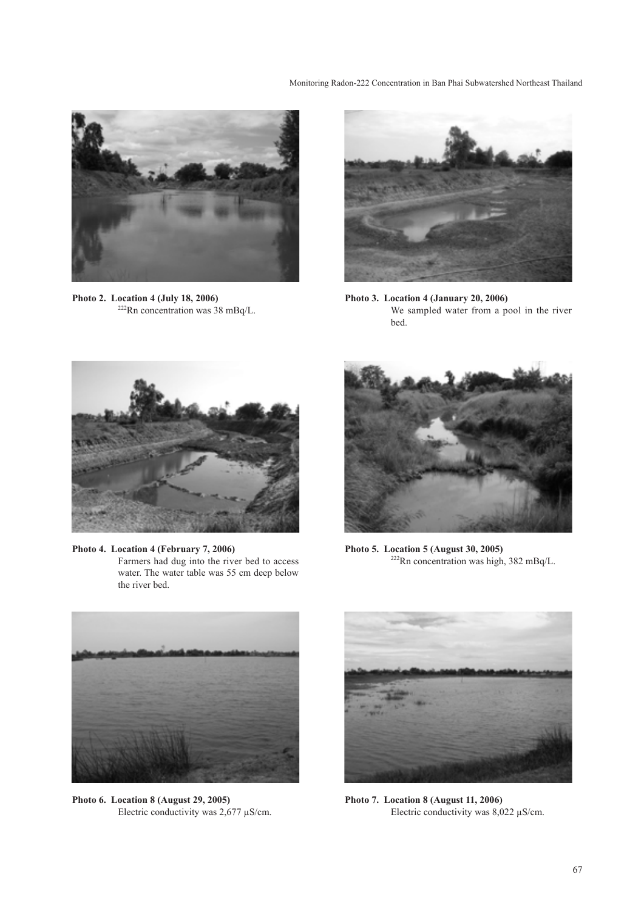Monitoring Radon-222 Concentration in Ban Phai Subwatershed Northeast Thailand



**Photo 2. Location 4 (July 18, 2006)** 222Rn concentration was 38 mBq/L.



**Photo 3. Location 4 (January 20, 2006)** We sampled water from a pool in the river bed.



**Photo 4. Location 4 (February 7, 2006)** Farmers had dug into the river bed to access water. The water table was 55 cm deep below the river bed.



**Photo 5. Location 5 (August 30, 2005)** 222Rn concentration was high, 382 mBq/L.



**Photo 6. Location 8 (August 29, 2005)** Electric conductivity was  $2,677 \mu$ S/cm.



**Photo 7. Location 8 (August 11, 2006)** Electric conductivity was 8,022 µS/cm.